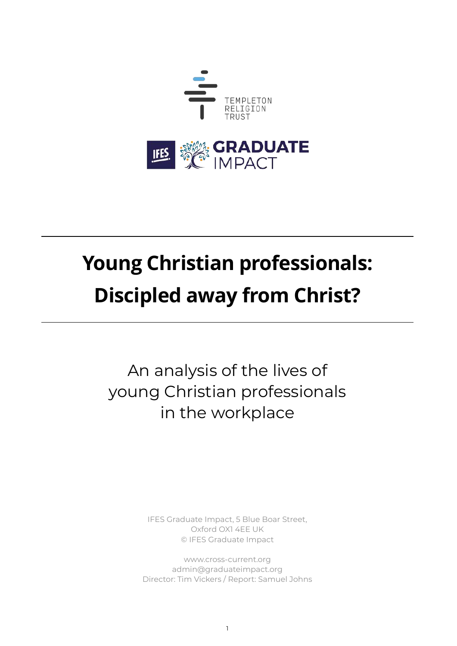

# **Young Christian professionals: Discipled away from Christ?**

An analysis of the lives of young Christian professionals in the workplace

> IFES Graduate Impact, 5 Blue Boar Street, Oxford OX1 4EE UK © IFES Graduate Impact

[www.cross-current.org](http://www.cross-current.org) [admin@graduateimpact.org](mailto:admin@graduateimpact.org) Director: Tim Vickers / Report: Samuel Johns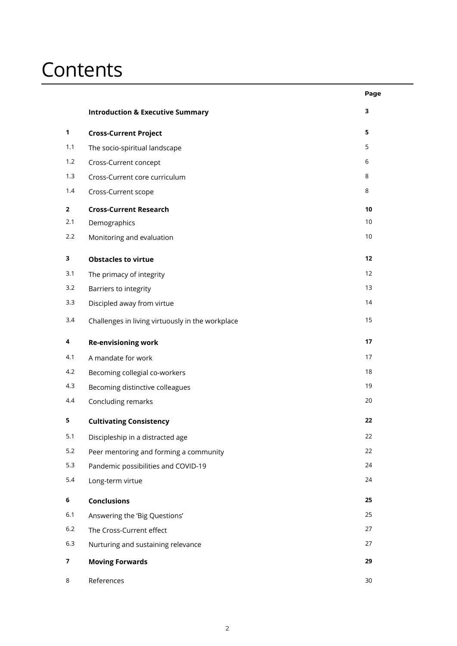### **Contents**

|                |                                                  | Page |
|----------------|--------------------------------------------------|------|
|                | <b>Introduction &amp; Executive Summary</b>      | 3    |
| $\mathbf{1}$   | <b>Cross-Current Project</b>                     | 5    |
| 1.1            | The socio-spiritual landscape                    | 5    |
| 1.2            | Cross-Current concept                            | 6    |
| 1.3            | Cross-Current core curriculum                    | 8    |
| 1.4            | Cross-Current scope                              | 8    |
| $\overline{2}$ | <b>Cross-Current Research</b>                    | 10   |
| 2.1            | Demographics                                     | 10   |
| 2.2            | Monitoring and evaluation                        | $10$ |
| 3              | <b>Obstacles to virtue</b>                       | 12   |
| 3.1            | The primacy of integrity                         | 12   |
| 3.2            | Barriers to integrity                            | 13   |
| 3.3            | Discipled away from virtue                       | 14   |
| 3.4            | Challenges in living virtuously in the workplace | 15   |
| 4              | <b>Re-envisioning work</b>                       | 17   |
| 4.1            | A mandate for work                               | 17   |
| 4.2            | Becoming collegial co-workers                    | 18   |
| 4.3            | Becoming distinctive colleagues                  | 19   |
| 4.4            | Concluding remarks                               | 20   |
| 5              | <b>Cultivating Consistency</b>                   | 22   |
| 5.1            | Discipleship in a distracted age                 | 22   |
| 5.2            | Peer mentoring and forming a community           | 22   |
| 5.3            | Pandemic possibilities and COVID-19              | 24   |
| 5.4            | Long-term virtue                                 | 24   |
| 6              | <b>Conclusions</b>                               | 25   |
| 6.1            | Answering the 'Big Questions'                    | 25   |
| $6.2\,$        | The Cross-Current effect                         | 27   |
| $6.3$          | Nurturing and sustaining relevance               | 27   |
| 7              | <b>Moving Forwards</b>                           | 29   |
| 8              | References                                       | 30   |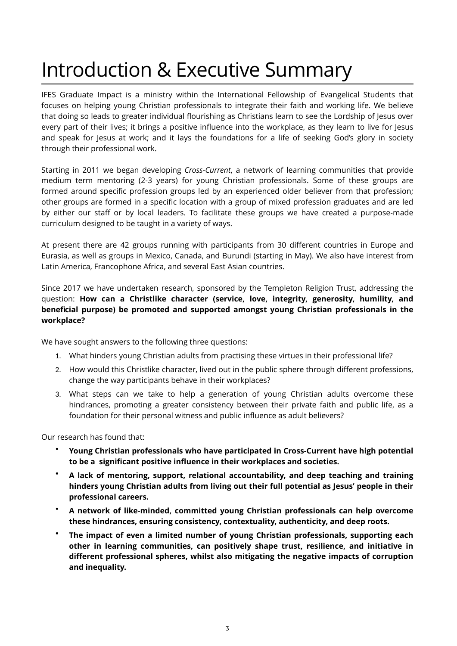## Introduction & Executive Summary

IFES Graduate Impact is a ministry within the International Fellowship of Evangelical Students that focuses on helping young Christian professionals to integrate their faith and working life. We believe that doing so leads to greater individual flourishing as Christians learn to see the Lordship of Jesus over every part of their lives; it brings a positive influence into the workplace, as they learn to live for Jesus and speak for Jesus at work; and it lays the foundations for a life of seeking God's glory in society through their professional work.

Starting in 2011 we began developing *Cross-Current*, a network of learning communities that provide medium term mentoring (2-3 years) for young Christian professionals. Some of these groups are formed around specific profession groups led by an experienced older believer from that profession; other groups are formed in a specific location with a group of mixed profession graduates and are led by either our staff or by local leaders. To facilitate these groups we have created a purpose-made curriculum designed to be taught in a variety of ways.

At present there are 42 groups running with participants from 30 different countries in Europe and Eurasia, as well as groups in Mexico, Canada, and Burundi (starting in May). We also have interest from Latin America, Francophone Africa, and several East Asian countries.

Since 2017 we have undertaken research, sponsored by the Templeton Religion Trust, addressing the question: **How can a Christlike character (service, love, integrity, generosity, humility, and beneficial purpose) be promoted and supported amongst young Christian professionals in the workplace?** 

We have sought answers to the following three questions:

- 1. What hinders young Christian adults from practising these virtues in their professional life?
- 2. How would this Christlike character, lived out in the public sphere through different professions, change the way participants behave in their workplaces?
- 3. What steps can we take to help a generation of young Christian adults overcome these hindrances, promoting a greater consistency between their private faith and public life, as a foundation for their personal witness and public influence as adult believers?

Our research has found that:

- **Young Christian professionals who have participated in Cross-Current have high potential to be a significant positive influence in their workplaces and societies.**
- **A lack of mentoring, support, relational accountability, and deep teaching and training hinders young Christian adults from living out their full potential as Jesus' people in their professional careers.**
- **A network of like-minded, committed young Christian professionals can help overcome these hindrances, ensuring consistency, contextuality, authenticity, and deep roots.**
- **The impact of even a limited number of young Christian professionals, supporting each other in learning communities, can positively shape trust, resilience, and initiative in different professional spheres, whilst also mitigating the negative impacts of corruption and inequality.**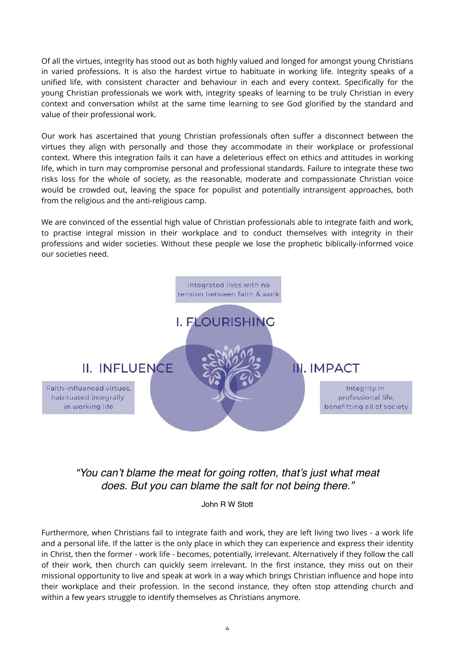Of all the virtues, integrity has stood out as both highly valued and longed for amongst young Christians in varied professions. It is also the hardest virtue to habituate in working life. Integrity speaks of a unified life, with consistent character and behaviour in each and every context. Specifically for the young Christian professionals we work with, integrity speaks of learning to be truly Christian in every context and conversation whilst at the same time learning to see God glorified by the standard and value of their professional work.

Our work has ascertained that young Christian professionals often suffer a disconnect between the virtues they align with personally and those they accommodate in their workplace or professional context. Where this integration fails it can have a deleterious effect on ethics and attitudes in working life, which in turn may compromise personal and professional standards. Failure to integrate these two risks loss for the whole of society, as the reasonable, moderate and compassionate Christian voice would be crowded out, leaving the space for populist and potentially intransigent approaches, both from the religious and the anti-religious camp.

We are convinced of the essential high value of Christian professionals able to integrate faith and work, to practise integral mission in their workplace and to conduct themselves with integrity in their professions and wider societies. Without these people we lose the prophetic biblically-informed voice our societies need.



*"You can't blame the meat for going rotten, that's just what meat does. But you can blame the salt for not being there."*

John R W Stott

Furthermore, when Christians fail to integrate faith and work, they are left living two lives - a work life and a personal life. If the latter is the only place in which they can experience and express their identity in Christ, then the former - work life - becomes, potentially, irrelevant. Alternatively if they follow the call of their work, then church can quickly seem irrelevant. In the first instance, they miss out on their missional opportunity to live and speak at work in a way which brings Christian influence and hope into their workplace and their profession. In the second instance, they often stop attending church and within a few years struggle to identify themselves as Christians anymore.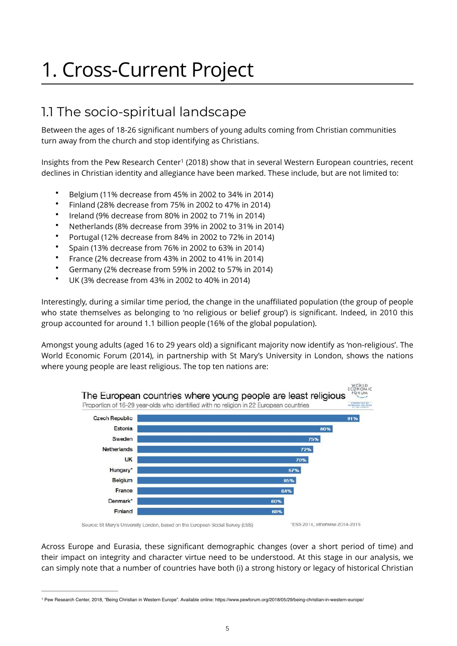## 1. Cross-Current Project

#### 1.1 The socio-spiritual landscape

Between the ages of 18-26 significant numbers of young adults coming from Christian communities turn away from the church and stop identifying as Christians.

Insights from the Pew Research Center<sup>[1](#page-4-0)</sup> (2018) show that in several Western European countries, recent declines in Christian identity and allegiance have been marked. These include, but are not limited to:

- <span id="page-4-1"></span>• Belgium (11% decrease from 45% in 2002 to 34% in 2014)
- Finland (28% decrease from 75% in 2002 to 47% in 2014)
- Ireland (9% decrease from 80% in 2002 to 71% in 2014)
- Netherlands (8% decrease from 39% in 2002 to 31% in 2014)
- Portugal (12% decrease from 84% in 2002 to 72% in 2014)
- Spain (13% decrease from 76% in 2002 to 63% in 2014)
- France (2% decrease from 43% in 2002 to 41% in 2014)
- Germany (2% decrease from 59% in 2002 to 57% in 2014)
- UK (3% decrease from 43% in 2002 to 40% in 2014)

Interestingly, during a similar time period, the change in the unaffiliated population (the group of people who state themselves as belonging to 'no religious or belief group') is significant. Indeed, in 2010 this group accounted for around 1.1 billion people (16% of the global population).

Amongst young adults (aged 16 to 29 years old) a significant majority now identify as 'non-religious'. The World Economic Forum (2014), in partnership with St Mary's University in London, shows the nations where young people are least religious. The top ten nations are:



Across Europe and Eurasia, these significant demographic changes (over a short period of time) and their impact on integrity and character virtue need to be understood. At this stage in our analysis, we can simply note that a number of countries have both (i) a strong history or legacy of historical Christian

<span id="page-4-0"></span>Pew Research Center, 2018, "Being Christian in Western Europe". Available online: https://www.pewforum.org/2018/05/29/being-christian-in-western-europe/ [1](#page-4-1)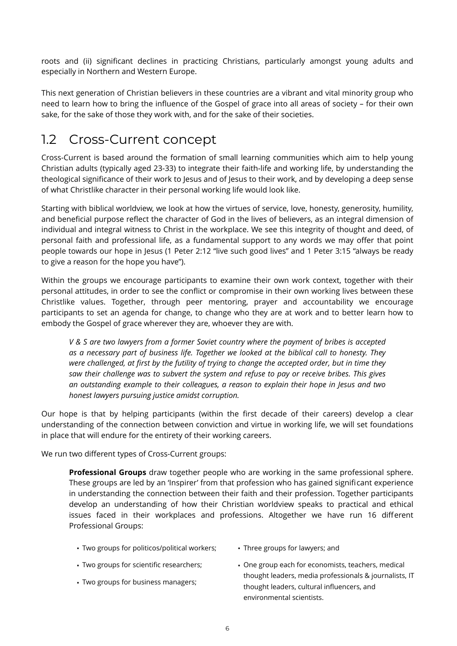roots and (ii) significant declines in practicing Christians, particularly amongst young adults and especially in Northern and Western Europe.

This next generation of Christian believers in these countries are a vibrant and vital minority group who need to learn how to bring the influence of the Gospel of grace into all areas of society – for their own sake, for the sake of those they work with, and for the sake of their societies.

#### 1.2 Cross-Current concept

Cross-Current is based around the formation of small learning communities which aim to help young Christian adults (typically aged 23-33) to integrate their faith-life and working life, by understanding the theological significance of their work to Jesus and of Jesus to their work, and by developing a deep sense of what Christlike character in their personal working life would look like.

Starting with biblical worldview, we look at how the virtues of service, love, honesty, generosity, humility, and beneficial purpose reflect the character of God in the lives of believers, as an integral dimension of individual and integral witness to Christ in the workplace. We see this integrity of thought and deed, of personal faith and professional life, as a fundamental support to any words we may offer that point people towards our hope in Jesus (1 Peter 2:12 "live such good lives" and 1 Peter 3:15 "always be ready to give a reason for the hope you have").

Within the groups we encourage participants to examine their own work context, together with their personal attitudes, in order to see the conflict or compromise in their own working lives between these Christlike values. Together, through peer mentoring, prayer and accountability we encourage participants to set an agenda for change, to change who they are at work and to better learn how to embody the Gospel of grace wherever they are, whoever they are with.

*V & S are two lawyers from a former Soviet country where the payment of bribes is accepted as a necessary part of business life. Together we looked at the biblical call to honesty. They were challenged, at first by the futility of trying to change the accepted order, but in time they saw their challenge was to subvert the system and refuse to pay or receive bribes. This gives an outstanding example to their colleagues, a reason to explain their hope in Jesus and two honest lawyers pursuing justice amidst corruption.* 

Our hope is that by helping participants (within the first decade of their careers) develop a clear understanding of the connection between conviction and virtue in working life, we will set foundations in place that will endure for the entirety of their working careers.

We run two different types of Cross-Current groups:

**Professional Groups** draw together people who are working in the same professional sphere. These groups are led by an 'Inspirer' from that profession who has gained significant experience in understanding the connection between their faith and their profession. Together participants develop an understanding of how their Christian worldview speaks to practical and ethical issues faced in their workplaces and professions. Altogether we have run 16 different Professional Groups:

- Two groups for politicos/political workers; Three groups for lawyers; and
	-
- 
- Two groups for business managers;
- Two groups for scientific researchers; One group each for economists, teachers, medical thought leaders, media professionals & journalists, IT thought leaders, cultural influencers, and environmental scientists.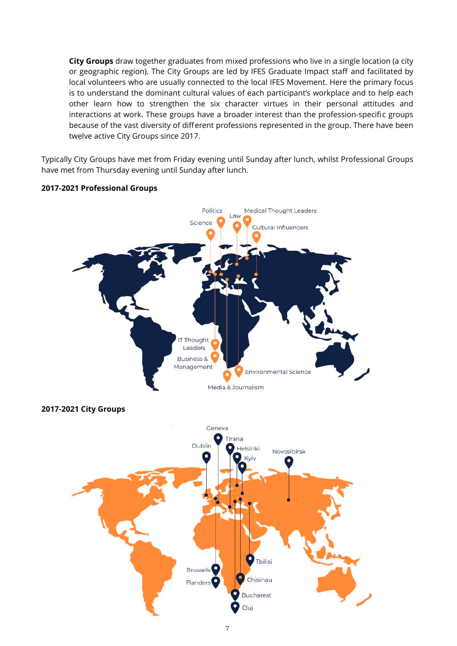**City Groups** draw together graduates from mixed professions who live in a single location (a city or geographic region). The City Groups are led by IFES Graduate Impact staff and facilitated by local volunteers who are usually connected to the local IFES Movement. Here the primary focus is to understand the dominant cultural values of each participant's workplace and to help each other learn how to strengthen the six character virtues in their personal attitudes and interactions at work. These groups have a broader interest than the profession-specific groups because of the vast diversity of different professions represented in the group. There have been twelve active City Groups since 2017.

Typically City Groups have met from Friday evening until Sunday after lunch, whilst Professional Groups have met from Thursday evening until Sunday after lunch.

#### **2017-2021 Professional Groups**





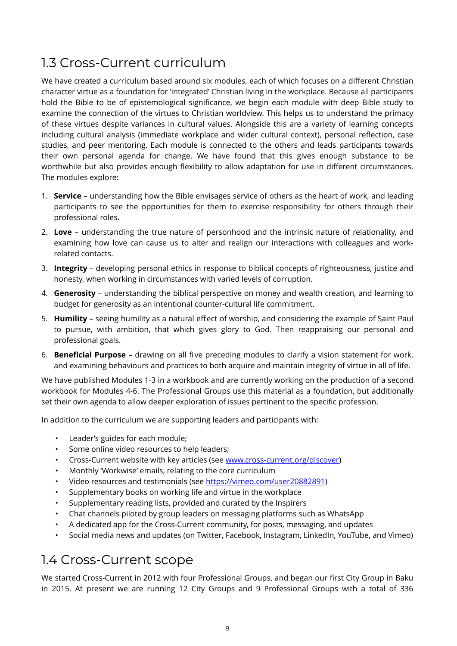#### 1.3 Cross-Current curriculum

We have created a curriculum based around six modules, each of which focuses on a different Christian character virtue as a foundation for 'integrated' Christian living in the workplace. Because all participants hold the Bible to be of epistemological significance, we begin each module with deep Bible study to examine the connection of the virtues to Christian worldview. This helps us to understand the primacy of these virtues despite variances in cultural values. Alongside this are a variety of learning concepts including cultural analysis (immediate workplace and wider cultural context), personal reflection, case studies, and peer mentoring. Each module is connected to the others and leads participants towards their own personal agenda for change. We have found that this gives enough substance to be worthwhile but also provides enough flexibility to allow adaptation for use in different circumstances. The modules explore:

- 1. **Service** understanding how the Bible envisages service of others as the heart of work, and leading participants to see the opportunities for them to exercise responsibility for others through their professional roles.
- 2. **Love** understanding the true nature of personhood and the intrinsic nature of relationality, and examining how love can cause us to alter and realign our interactions with colleagues and workrelated contacts.
- 3. **Integrity**  developing personal ethics in response to biblical concepts of righteousness, justice and honesty, when working in circumstances with varied levels of corruption.
- 4. **Generosity** understanding the biblical perspective on money and wealth creation, and learning to budget for generosity as an intentional counter-cultural life commitment.
- 5. **Humility** seeing humility as a natural effect of worship, and considering the example of Saint Paul to pursue, with ambition, that which gives glory to God. Then reappraising our personal and professional goals.
- 6. **Beneficial Purpose** drawing on all five preceding modules to clarify a vision statement for work, and examining behaviours and practices to both acquire and maintain integrity of virtue in all of life.

We have published Modules 1-3 in a workbook and are currently working on the production of a second workbook for Modules 4-6. The Professional Groups use this material as a foundation, but additionally set their own agenda to allow deeper exploration of issues pertinent to the specific profession.

In addition to the curriculum we are supporting leaders and participants with:

- Leader's guides for each module;
- Some online video resources to help leaders;
- Cross-Current website with key articles (see [www.cross-current.org/discover\)](http://www.cross-current.org/discover)
- Monthly 'Workwise' emails, relating to the core curriculum
- Video resources and testimonials (see [https://vimeo.com/user20882891\)](https://vimeo.com/user20882891)
- Supplementary books on working life and virtue in the workplace
- Supplementary reading lists, provided and curated by the Inspirers
- Chat channels piloted by group leaders on messaging platforms such as WhatsApp
- A dedicated app for the Cross-Current community, for posts, messaging, and updates
- Social media news and updates (on Twitter, Facebook, Instagram, LinkedIn, YouTube, and Vimeo)

#### 1.4 Cross-Current scope

We started Cross-Current in 2012 with four Professional Groups, and began our first City Group in Baku in 2015. At present we are running 12 City Groups and 9 Professional Groups with a total of 336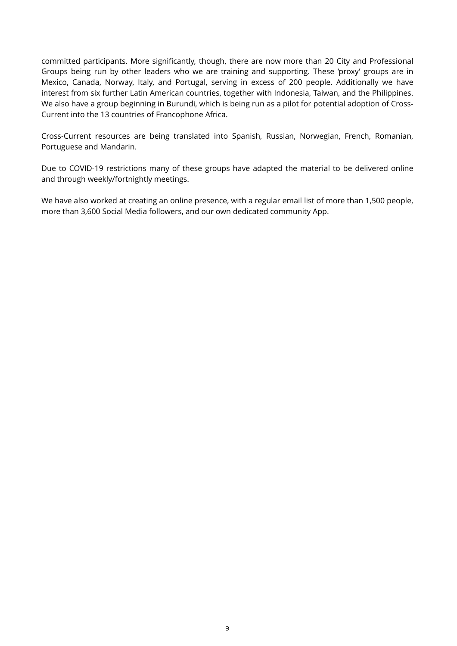committed participants. More significantly, though, there are now more than 20 City and Professional Groups being run by other leaders who we are training and supporting. These 'proxy' groups are in Mexico, Canada, Norway, Italy, and Portugal, serving in excess of 200 people. Additionally we have interest from six further Latin American countries, together with Indonesia, Taiwan, and the Philippines. We also have a group beginning in Burundi, which is being run as a pilot for potential adoption of Cross-Current into the 13 countries of Francophone Africa.

Cross-Current resources are being translated into Spanish, Russian, Norwegian, French, Romanian, Portuguese and Mandarin.

Due to COVID-19 restrictions many of these groups have adapted the material to be delivered online and through weekly/fortnightly meetings.

We have also worked at creating an online presence, with a regular email list of more than 1,500 people, more than 3,600 Social Media followers, and our own dedicated community App.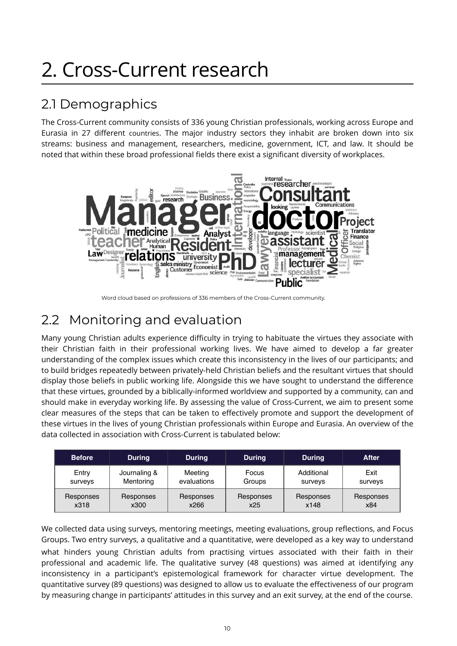## 2. Cross-Current research

### 2.1 Demographics

The Cross-Current community consists of 336 young Christian professionals, working across Europe and Eurasia in 27 different countries. The major industry sectors they inhabit are broken down into six streams: business and management, researchers, medicine, government, ICT, and law. It should be noted that within these broad professional fields there exist a significant diversity of workplaces.



Word cloud based on professions of 336 members of the Cross-Current community.

### 2.2 Monitoring and evaluation

Many young Christian adults experience difficulty in trying to habituate the virtues they associate with their Christian faith in their professional working lives. We have aimed to develop a far greater understanding of the complex issues which create this inconsistency in the lives of our participants; and to build bridges repeatedly between privately-held Christian beliefs and the resultant virtues that should display those beliefs in public working life. Alongside this we have sought to understand the difference that these virtues, grounded by a biblically-informed worldview and supported by a community, can and should make in everyday working life. By assessing the value of Cross-Current, we aim to present some clear measures of the steps that can be taken to effectively promote and support the development of these virtues in the lives of young Christian professionals within Europe and Eurasia. An overview of the data collected in association with Cross-Current is tabulated below:

| <b>Before</b> | <b>During</b> | <b>During</b> | <b>During</b> | <b>During</b> | After     |
|---------------|---------------|---------------|---------------|---------------|-----------|
| Entry         | Journaling &  | Meeting       | Focus         | Additional    | Exit      |
| surveys       | Mentoring     | evaluations   | Groups        | surveys       | surveys   |
| Responses     | Responses     | Responses     | Responses     | Responses     | Responses |
| x318          | x300          | x266          | x25           | x148          | x84       |

We collected data using surveys, mentoring meetings, meeting evaluations, group reflections, and Focus Groups. Two entry surveys, a qualitative and a quantitative, were developed as a key way to understand what hinders young Christian adults from practising virtues associated with their faith in their professional and academic life. The qualitative survey (48 questions) was aimed at identifying any inconsistency in a participant's epistemological framework for character virtue development. The quantitative survey (89 questions) was designed to allow us to evaluate the effectiveness of our program by measuring change in participants' attitudes in this survey and an exit survey, at the end of the course.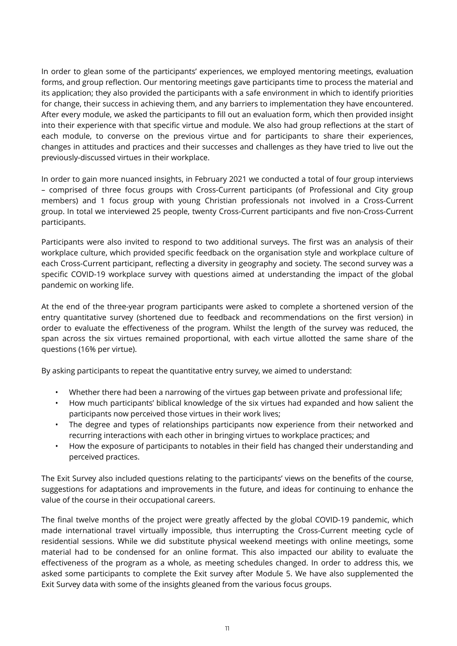In order to glean some of the participants' experiences, we employed mentoring meetings, evaluation forms, and group reflection. Our mentoring meetings gave participants time to process the material and its application; they also provided the participants with a safe environment in which to identify priorities for change, their success in achieving them, and any barriers to implementation they have encountered. After every module, we asked the participants to fill out an evaluation form, which then provided insight into their experience with that specific virtue and module. We also had group reflections at the start of each module, to converse on the previous virtue and for participants to share their experiences, changes in attitudes and practices and their successes and challenges as they have tried to live out the previously-discussed virtues in their workplace.

In order to gain more nuanced insights, in February 2021 we conducted a total of four group interviews – comprised of three focus groups with Cross-Current participants (of Professional and City group members) and 1 focus group with young Christian professionals not involved in a Cross-Current group. In total we interviewed 25 people, twenty Cross-Current participants and five non-Cross-Current participants.

Participants were also invited to respond to two additional surveys. The first was an analysis of their workplace culture, which provided specific feedback on the organisation style and workplace culture of each Cross-Current participant, reflecting a diversity in geography and society. The second survey was a specific COVID-19 workplace survey with questions aimed at understanding the impact of the global pandemic on working life.

At the end of the three-year program participants were asked to complete a shortened version of the entry quantitative survey (shortened due to feedback and recommendations on the first version) in order to evaluate the effectiveness of the program. Whilst the length of the survey was reduced, the span across the six virtues remained proportional, with each virtue allotted the same share of the questions (16% per virtue).

By asking participants to repeat the quantitative entry survey, we aimed to understand:

- Whether there had been a narrowing of the virtues gap between private and professional life;
- How much participants' biblical knowledge of the six virtues had expanded and how salient the participants now perceived those virtues in their work lives;
- The degree and types of relationships participants now experience from their networked and recurring interactions with each other in bringing virtues to workplace practices; and
- How the exposure of participants to notables in their field has changed their understanding and perceived practices.

The Exit Survey also included questions relating to the participants' views on the benefits of the course, suggestions for adaptations and improvements in the future, and ideas for continuing to enhance the value of the course in their occupational careers.

The final twelve months of the project were greatly affected by the global COVID-19 pandemic, which made international travel virtually impossible, thus interrupting the Cross-Current meeting cycle of residential sessions. While we did substitute physical weekend meetings with online meetings, some material had to be condensed for an online format. This also impacted our ability to evaluate the effectiveness of the program as a whole, as meeting schedules changed. In order to address this, we asked some participants to complete the Exit survey after Module 5. We have also supplemented the Exit Survey data with some of the insights gleaned from the various focus groups.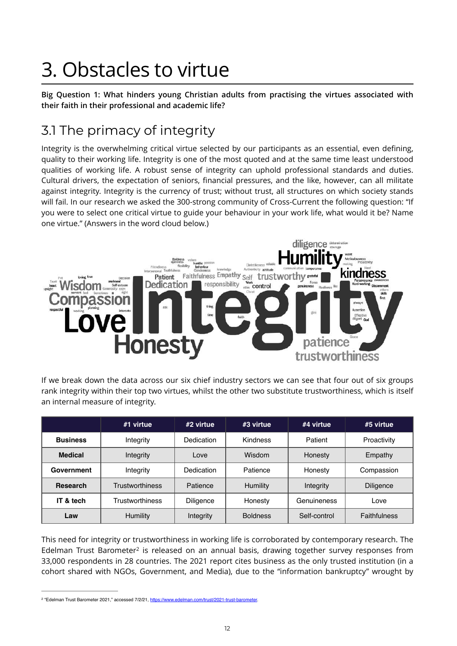# 3. Obstacles to virtue

**Big Question 1: What hinders young Christian adults from practising the virtues associated with their faith in their professional and academic life?** 

### 3.1 The primacy of integrity

Integrity is the overwhelming critical virtue selected by our participants as an essential, even defining, quality to their working life. Integrity is one of the most quoted and at the same time least understood qualities of working life. A robust sense of integrity can uphold professional standards and duties. Cultural drivers, the expectation of seniors, financial pressures, and the like, however, can all militate against integrity. Integrity is the currency of trust; without trust, all structures on which society stands will fail. In our research we asked the 300-strong community of Cross-Current the following question: "If you were to select one critical virtue to guide your behaviour in your work life, what would it be? Name one virtue." (Answers in the word cloud below.)



If we break down the data across our six chief industry sectors we can see that four out of six groups rank integrity within their top two virtues, whilst the other two substitute trustworthiness, which is itself an internal measure of integrity.

|                 | #1 virtue              | $#2$ virtue       | $#3$ virtue     | #4 virtue    | #5 virtue    |
|-----------------|------------------------|-------------------|-----------------|--------------|--------------|
| <b>Business</b> | Integrity              | Dedication        | Kindness        | Patient      | Proactivity  |
| <b>Medical</b>  | Integrity              | Love              | Wisdom          | Honesty      | Empathy      |
| Government      | Integrity              | <b>Dedication</b> | Patience        | Honesty      | Compassion   |
| <b>Research</b> | <b>Trustworthiness</b> | Patience          | Humility        | Integrity    | Diligence    |
| IT & tech       | <b>Trustworthiness</b> | Diligence         | Honesty         | Genuineness  | Love         |
| Law             | Humility               | Integrity         | <b>Boldness</b> | Self-control | Faithfulness |

<span id="page-11-1"></span>This need for integrity or trustworthiness in working life is corroborated by contemporary research. The Edelman Trust Barometer<sup>[2](#page-11-0)</sup> is released on an annual basis, drawing together survey responses from 33,000 respondents in 28 countries. The 2021 report cites business as the only trusted institution (in a cohort shared with NGOs, Government, and Media), due to the "information bankruptcy" wrought by

<span id="page-11-0"></span><sup>&</sup>lt;sup>[2](#page-11-1)</sup> "Edelman Trust Barometer 2021," accessed 7/2/21, https://www.edelman.com/trust/2021-trust-ba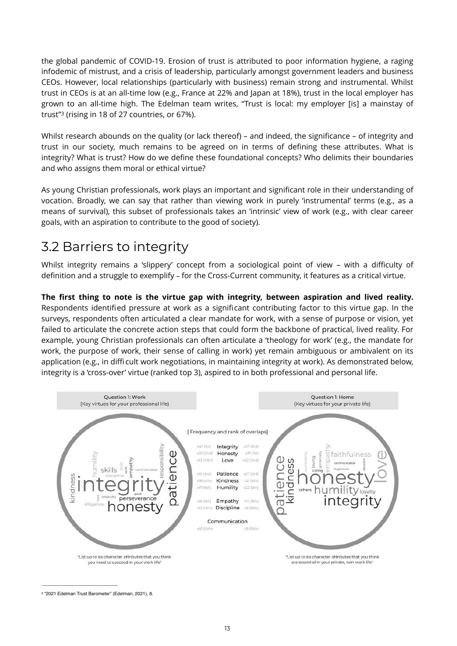the global pandemic of COVID-19. Erosion of trust is attributed to poor information hygiene, a raging infodemic of mistrust, and a crisis of leadership, particularly amongst government leaders and business CEOs. However, local relationships (particularly with business) remain strong and instrumental. Whilst trust in CEOs is at an all-time low (e.g., France at 22% and Japan at 18%), trust in the local employer has grown to an all-time high. The Edelman team writes, "Trust is local: my employer [is] a mainstay of trust"<sup>3</sup>(rising in 18 of 27 countries, or 67%).

<span id="page-12-1"></span>Whilst research abounds on the quality (or lack thereof) – and indeed, the significance – of integrity and trust in our society, much remains to be agreed on in terms of defining these attributes. What is integrity? What is trust? How do we define these foundational concepts? Who delimits their boundaries and who assigns them moral or ethical virtue?

As young Christian professionals, work plays an important and significant role in their understanding of vocation. Broadly, we can say that rather than viewing work in purely 'instrumental' terms (e.g., as a means of survival), this subset of professionals takes an 'intrinsic' view of work (e.g., with clear career goals, with an aspiration to contribute to the good of society).

#### 3.2 Barriers to integrity

Whilst integrity remains a 'slippery' concept from a sociological point of view – with a difficulty of definition and a struggle to exemplify – for the Cross-Current community, it features as a critical virtue.

**The first thing to note is the virtue gap with integrity, between aspiration and lived reality.** Respondents identified pressure at work as a significant contributing factor to this virtue gap. In the surveys, respondents often articulated a clear mandate for work, with a sense of purpose or vision, yet failed to articulate the concrete action steps that could form the backbone of practical, lived reality. For example, young Christian professionals can often articulate a 'theology for work' (e.g., the mandate for work, the purpose of work, their sense of calling in work) yet remain ambiguous or ambivalent on its application (e.g., in difficult work negotiations, in maintaining integrity at work). As demonstrated below, integrity is a 'cross-over' virtue (ranked top 3), aspired to in both professional and personal life.



<span id="page-12-0"></span><sup>&</sup>lt;sup>[3](#page-12-1)</sup> "2021 Edelman Trust Barometer" (Edelman, 2021), 8.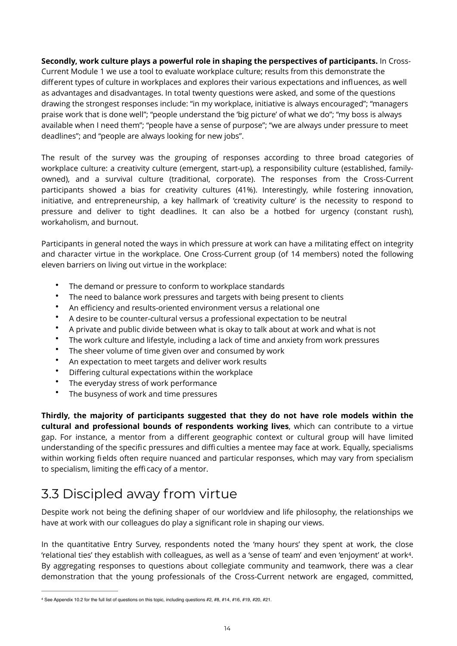**Secondly, work culture plays a powerful role in shaping the perspectives of participants.** In Cross-Current Module 1 we use a tool to evaluate workplace culture; results from this demonstrate the different types of culture in workplaces and explores their various expectations and influences, as well as advantages and disadvantages. In total twenty questions were asked, and some of the questions drawing the strongest responses include: "in my workplace, initiative is always encouraged"; "managers praise work that is done well"; "people understand the 'big picture' of what we do"; "my boss is always available when I need them"; "people have a sense of purpose"; "we are always under pressure to meet deadlines"; and "people are always looking for new jobs".

The result of the survey was the grouping of responses according to three broad categories of workplace culture: a creativity culture (emergent, start-up), a responsibility culture (established, familyowned), and a survival culture (traditional, corporate). The responses from the Cross-Current participants showed a bias for creativity cultures (41%). Interestingly, while fostering innovation, initiative, and entrepreneurship, a key hallmark of 'creativity culture' is the necessity to respond to pressure and deliver to tight deadlines. It can also be a hotbed for urgency (constant rush), workaholism, and burnout.

Participants in general noted the ways in which pressure at work can have a militating effect on integrity and character virtue in the workplace. One Cross-Current group (of 14 members) noted the following eleven barriers on living out virtue in the workplace:

- The demand or pressure to conform to workplace standards
- The need to balance work pressures and targets with being present to clients
- An efficiency and results-oriented environment versus a relational one
- A desire to be counter-cultural versus a professional expectation to be neutral
- A private and public divide between what is okay to talk about at work and what is not
- The work culture and lifestyle, including a lack of time and anxiety from work pressures
- The sheer volume of time given over and consumed by work
- An expectation to meet targets and deliver work results
- Differing cultural expectations within the workplace
- The everyday stress of work performance
- The busyness of work and time pressures

**Thirdly, the majority of participants suggested that they do not have role models within the cultural and professional bounds of respondents working lives**, which can contribute to a virtue gap. For instance, a mentor from a different geographic context or cultural group will have limited understanding of the specific pressures and difficulties a mentee may face at work. Equally, specialisms within working fields often require nuanced and particular responses, which may vary from specialism to specialism, limiting the efficacy of a mentor.

### 3.3 Discipled away from virtue

Despite work not being the defining shaper of our worldview and life philosophy, the relationships we have at work with our colleagues do play a significant role in shaping our views.

<span id="page-13-1"></span>In the quantitative Entry Survey, respondents noted the 'many hours' they spent at work, the close 'relational ties' they establish with colleagues, as well as a 'sense of team' and even 'enjoyment' at work<sup>4</sup>[.](#page-13-0) By aggregating responses to questions about collegiate community and teamwork, there was a clear demonstration that the young professionals of the Cross-Current network are engaged, committed,

<span id="page-13-0"></span><sup>&</sup>lt;sup>[4](#page-13-1)</sup> See Appendix 10.2 for the full list of questions on this topic, including questions #2, #8, #14, #16, #19, #20, #21.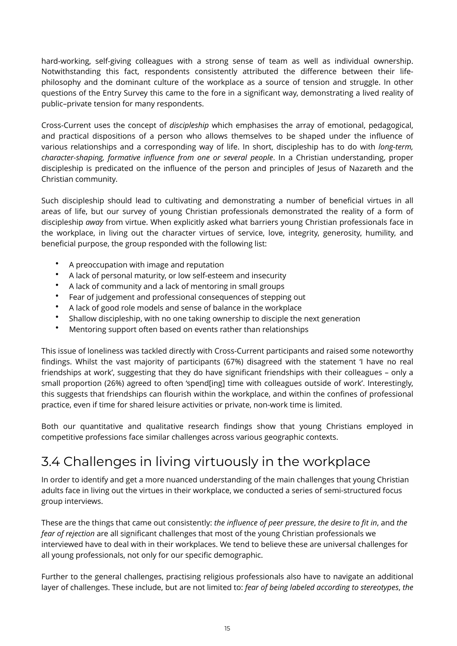hard-working, self-giving colleagues with a strong sense of team as well as individual ownership. Notwithstanding this fact, respondents consistently attributed the difference between their lifephilosophy and the dominant culture of the workplace as a source of tension and struggle. In other questions of the Entry Survey this came to the fore in a significant way, demonstrating a lived reality of public–private tension for many respondents.

Cross-Current uses the concept of *discipleship* which emphasises the array of emotional, pedagogical, and practical dispositions of a person who allows themselves to be shaped under the influence of various relationships and a corresponding way of life. In short, discipleship has to do with *long-term, character-shaping, formative influence from one or several people*. In a Christian understanding, proper discipleship is predicated on the influence of the person and principles of Jesus of Nazareth and the Christian community.

Such discipleship should lead to cultivating and demonstrating a number of beneficial virtues in all areas of life, but our survey of young Christian professionals demonstrated the reality of a form of discipleship *away* from virtue. When explicitly asked what barriers young Christian professionals face in the workplace, in living out the character virtues of service, love, integrity, generosity, humility, and beneficial purpose, the group responded with the following list:

- A preoccupation with image and reputation
- A lack of personal maturity, or low self-esteem and insecurity
- A lack of community and a lack of mentoring in small groups
- Fear of judgement and professional consequences of stepping out
- A lack of good role models and sense of balance in the workplace
- Shallow discipleship, with no one taking ownership to disciple the next generation
- Mentoring support often based on events rather than relationships

This issue of loneliness was tackled directly with Cross-Current participants and raised some noteworthy findings. Whilst the vast majority of participants (67%) disagreed with the statement 'I have no real friendships at work', suggesting that they do have significant friendships with their colleagues – only a small proportion (26%) agreed to often 'spend[ing] time with colleagues outside of work'. Interestingly, this suggests that friendships can flourish within the workplace, and within the confines of professional practice, even if time for shared leisure activities or private, non-work time is limited.

Both our quantitative and qualitative research findings show that young Christians employed in competitive professions face similar challenges across various geographic contexts.

### 3.4 Challenges in living virtuously in the workplace

In order to identify and get a more nuanced understanding of the main challenges that young Christian adults face in living out the virtues in their workplace, we conducted a series of semi-structured focus group interviews.

These are the things that came out consistently: *the influence of peer pressure*, *the desire to fit in*, and *the fear of rejection* are all significant challenges that most of the young Christian professionals we interviewed have to deal with in their workplaces. We tend to believe these are universal challenges for all young professionals, not only for our specific demographic.

Further to the general challenges, practising religious professionals also have to navigate an additional layer of challenges. These include, but are not limited to: *fear of being labeled according to stereotypes*, *the*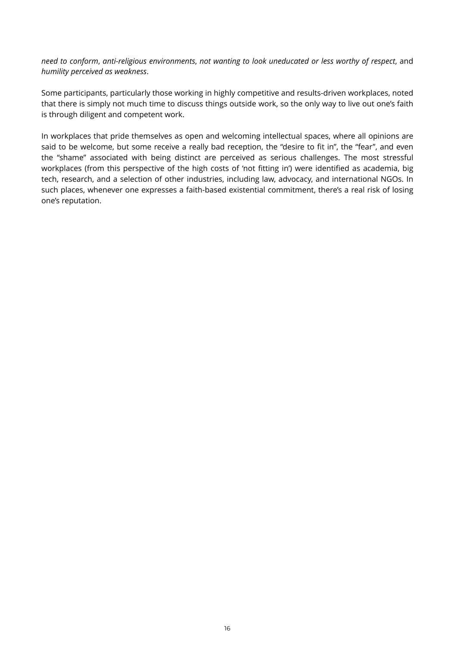*need to conform*, *anti-religious environments*, *not wanting to look uneducated or less worthy of respect*, and *humility perceived as weakness*.

Some participants, particularly those working in highly competitive and results-driven workplaces, noted that there is simply not much time to discuss things outside work, so the only way to live out one's faith is through diligent and competent work.

In workplaces that pride themselves as open and welcoming intellectual spaces, where all opinions are said to be welcome, but some receive a really bad reception, the "desire to fit in", the "fear", and even the "shame" associated with being distinct are perceived as serious challenges. The most stressful workplaces (from this perspective of the high costs of 'not fitting in') were identified as academia, big tech, research, and a selection of other industries, including law, advocacy, and international NGOs. In such places, whenever one expresses a faith-based existential commitment, there's a real risk of losing one's reputation.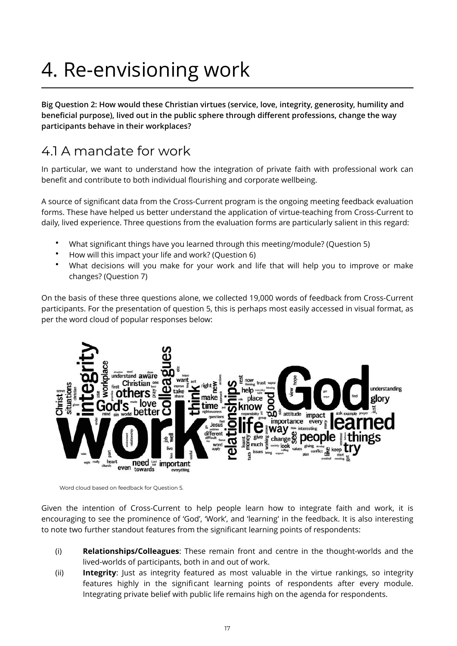## 4. Re-envisioning work

**Big Question 2: How would these Christian virtues (service, love, integrity, generosity, humility and beneficial purpose), lived out in the public sphere through different professions, change the way participants behave in their workplaces?** 

#### 4.1 A mandate for work

In particular, we want to understand how the integration of private faith with professional work can benefit and contribute to both individual flourishing and corporate wellbeing.

A source of significant data from the Cross-Current program is the ongoing meeting feedback evaluation forms. These have helped us better understand the application of virtue-teaching from Cross-Current to daily, lived experience. Three questions from the evaluation forms are particularly salient in this regard:

- What significant things have you learned through this meeting/module? (Question 5)
- How will this impact your life and work? (Question 6)
- What decisions will you make for your work and life that will help you to improve or make changes? (Question 7)

On the basis of these three questions alone, we collected 19,000 words of feedback from Cross-Current participants. For the presentation of question 5, this is perhaps most easily accessed in visual format, as per the word cloud of popular responses below:



Word cloud based on feedback for Question 5.

Given the intention of Cross-Current to help people learn how to integrate faith and work, it is encouraging to see the prominence of 'God', 'Work', and 'learning' in the feedback. It is also interesting to note two further standout features from the significant learning points of respondents:

- (i) **Relationships/Colleagues**: These remain front and centre in the thought-worlds and the lived-worlds of participants, both in and out of work.
- (ii) **Integrity**: Just as integrity featured as most valuable in the virtue rankings, so integrity features highly in the significant learning points of respondents after every module. Integrating private belief with public life remains high on the agenda for respondents.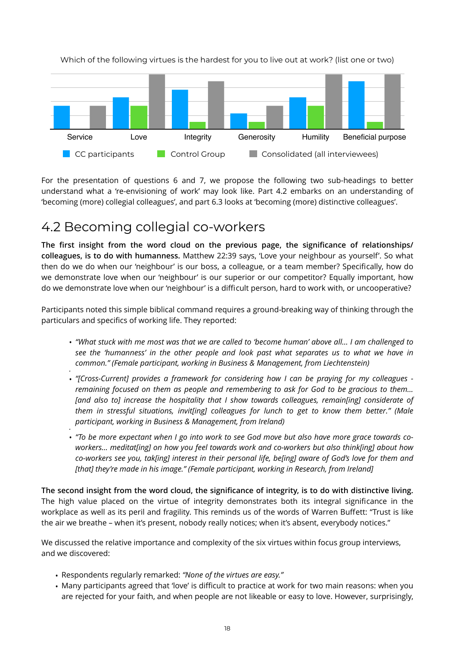

Which of the following virtues is the hardest for you to live out at work? (list one or two)

For the presentation of questions 6 and 7, we propose the following two sub-headings to better understand what a 're-envisioning of work' may look like. Part 4.2 embarks on an understanding of 'becoming (more) collegial colleagues', and part 6.3 looks at 'becoming (more) distinctive colleagues'.

#### 4.2 Becoming collegial co-workers

**The first insight from the word cloud on the previous page, the significance of relationships/ colleagues, is to do with humanness.** Matthew 22:39 says, 'Love your neighbour as yourself'. So what then do we do when our 'neighbour' is our boss, a colleague, or a team member? Specifically, how do we demonstrate love when our 'neighbour' is our superior or our competitor? Equally important, how do we demonstrate love when our 'neighbour' is a difficult person, hard to work with, or uncooperative?

Participants noted this simple biblical command requires a ground-breaking way of thinking through the particulars and specifics of working life. They reported:

- *"What stuck with me most was that we are called to 'become human' above all… I am challenged to see the 'humanness' in the other people and look past what separates us to what we have in common." (Female participant, working in Business & Management, from Liechtenstein)*
- *•* • *"[Cross-Current] provides a framework for considering how I can be praying for my colleagues remaining focused on them as people and remembering to ask for God to be gracious to them…* [and also to] increase the hospitality that I show towards colleagues, remain[ing] considerate of *them in stressful situations, invit[ing] colleagues for lunch to get to know them better." (Male participant, working in Business & Management, from Ireland)*
- *•* • *"To be more expectant when I go into work to see God move but also have more grace towards coworkers… meditat[ing] on how you feel towards work and co-workers but also think[ing] about how co-workers see you, tak[ing] interest in their personal life, be[ing] aware of God's love for them and*  [that] they're made in his image." (Female participant, working in Research, from Ireland]

**The second insight from the word cloud, the significance of integrity, is to do with distinctive living.**  The high value placed on the virtue of integrity demonstrates both its integral significance in the workplace as well as its peril and fragility. This reminds us of the words of Warren Buffett: "Trust is like the air we breathe – when it's present, nobody really notices; when it's absent, everybody notices."

We discussed the relative importance and complexity of the six virtues within focus group interviews, and we discovered:

- Respondents regularly remarked: *"None of the virtues are easy."*
- Many participants agreed that 'love' is difficult to practice at work for two main reasons: when you are rejected for your faith, and when people are not likeable or easy to love. However, surprisingly,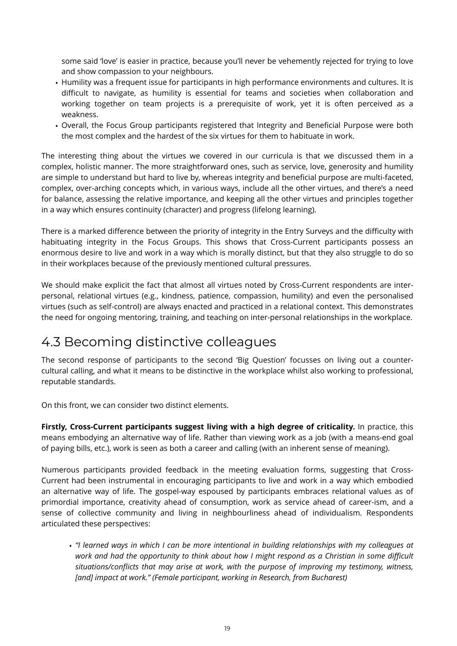some said 'love' is easier in practice, because you'll never be vehemently rejected for trying to love and show compassion to your neighbours.

- Humility was a frequent issue for participants in high performance environments and cultures. It is difficult to navigate, as humility is essential for teams and societies when collaboration and working together on team projects is a prerequisite of work, yet it is often perceived as a weakness.
- Overall, the Focus Group participants registered that Integrity and Beneficial Purpose were both the most complex and the hardest of the six virtues for them to habituate in work.

The interesting thing about the virtues we covered in our curricula is that we discussed them in a complex, holistic manner. The more straightforward ones, such as service, love, generosity and humility are simple to understand but hard to live by, whereas integrity and beneficial purpose are multi-faceted, complex, over-arching concepts which, in various ways, include all the other virtues, and there's a need for balance, assessing the relative importance, and keeping all the other virtues and principles together in a way which ensures continuity (character) and progress (lifelong learning).

There is a marked difference between the priority of integrity in the Entry Surveys and the difficulty with habituating integrity in the Focus Groups. This shows that Cross-Current participants possess an enormous desire to live and work in a way which is morally distinct, but that they also struggle to do so in their workplaces because of the previously mentioned cultural pressures.

We should make explicit the fact that almost all virtues noted by Cross-Current respondents are interpersonal, relational virtues (e.g., kindness, patience, compassion, humility) and even the personalised virtues (such as self-control) are always enacted and practiced in a relational context. This demonstrates the need for ongoing mentoring, training, and teaching on inter-personal relationships in the workplace.

#### 4.3 Becoming distinctive colleagues

The second response of participants to the second 'Big Question' focusses on living out a countercultural calling, and what it means to be distinctive in the workplace whilst also working to professional, reputable standards.

On this front, we can consider two distinct elements.

**Firstly, Cross-Current participants suggest living with a high degree of criticality.** In practice, this means embodying an alternative way of life. Rather than viewing work as a job (with a means-end goal of paying bills, etc.), work is seen as both a career and calling (with an inherent sense of meaning).

Numerous participants provided feedback in the meeting evaluation forms, suggesting that Cross-Current had been instrumental in encouraging participants to live and work in a way which embodied an alternative way of life. The gospel-way espoused by participants embraces relational values as of primordial importance, creativity ahead of consumption, work as service ahead of career-ism, and a sense of collective community and living in neighbourliness ahead of individualism. Respondents articulated these perspectives:

• *"I learned ways in which I can be more intentional in building relationships with my colleagues at work and had the opportunity to think about how I might respond as a Christian in some difficult situations/conflicts that may arise at work, with the purpose of improving my testimony, witness,*  [and] impact at work." (Female participant, working in Research, from Bucharest)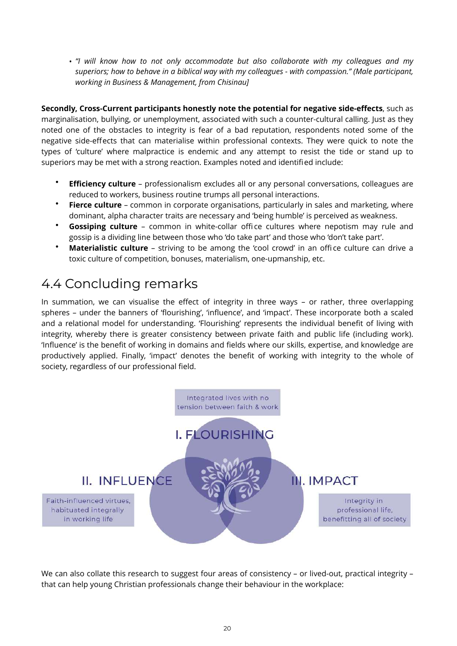• *"I will know how to not only accommodate but also collaborate with my colleagues and my superiors; how to behave in a biblical way with my colleagues - with compassion." (Male participant, working in Business & Management, from Chisinau]* 

**Secondly, Cross-Current participants honestly note the potential for negative side-effects**, such as marginalisation, bullying, or unemployment, associated with such a counter-cultural calling. Just as they noted one of the obstacles to integrity is fear of a bad reputation, respondents noted some of the negative side-effects that can materialise within professional contexts. They were quick to note the types of 'culture' where malpractice is endemic and any attempt to resist the tide or stand up to superiors may be met with a strong reaction. Examples noted and identified include:

- **Efficiency culture** professionalism excludes all or any personal conversations, colleagues are reduced to workers, business routine trumps all personal interactions.
- **Fierce culture** common in corporate organisations, particularly in sales and marketing, where dominant, alpha character traits are necessary and 'being humble' is perceived as weakness.
- **Gossiping culture** common in white-collar office cultures where nepotism may rule and gossip is a dividing line between those who 'do take part' and those who 'don't take part'.
- **Materialistic culture** striving to be among the 'cool crowd' in an office culture can drive a toxic culture of competition, bonuses, materialism, one-upmanship, etc.

#### 4.4 Concluding remarks

In summation, we can visualise the effect of integrity in three ways – or rather, three overlapping spheres – under the banners of 'flourishing', 'influence', and 'impact'. These incorporate both a scaled and a relational model for understanding. 'Flourishing' represents the individual benefit of living with integrity, whereby there is greater consistency between private faith and public life (including work). 'Influence' is the benefit of working in domains and fields where our skills, expertise, and knowledge are productively applied. Finally, 'impact' denotes the benefit of working with integrity to the whole of society, regardless of our professional field.



We can also collate this research to suggest four areas of consistency - or lived-out, practical integrity that can help young Christian professionals change their behaviour in the workplace: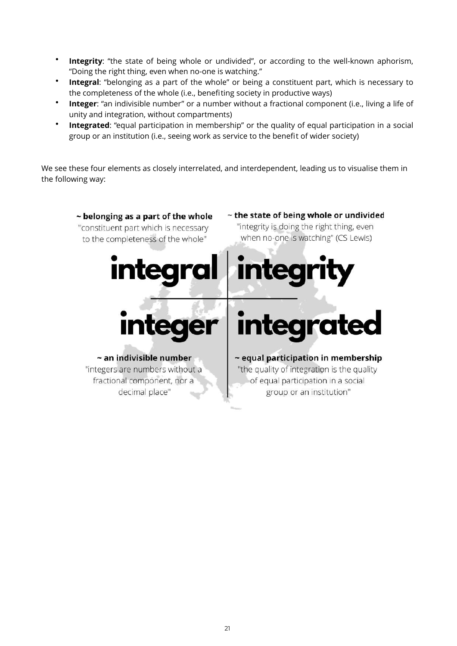- **Integrity**: "the state of being whole or undivided", or according to the well-known aphorism, "Doing the right thing, even when no-one is watching."
- **Integral**: "belonging as a part of the whole" or being a constituent part, which is necessary to the completeness of the whole (i.e., benefiting society in productive ways)
- **Integer**: "an indivisible number" or a number without a fractional component (i.e., living a life of unity and integration, without compartments)
- **Integrated**: "equal participation in membership" or the quality of equal participation in a social group or an institution (i.e., seeing work as service to the benefit of wider society)

We see these four elements as closely interrelated, and interdependent, leading us to visualise them in the following way:

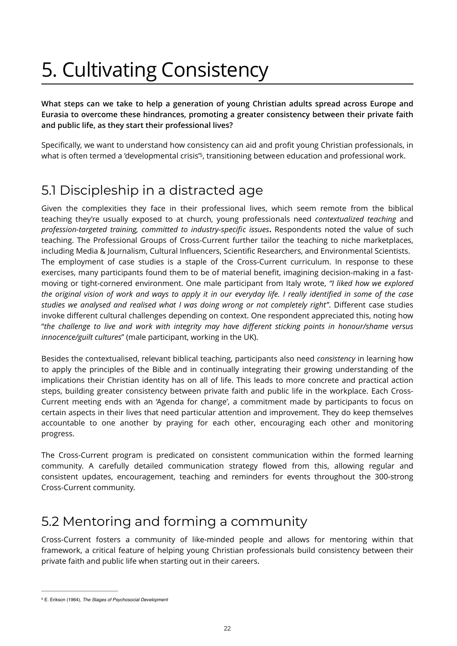## 5. Cultivating Consistency

**What steps can we take to help a generation of young Christian adults spread across Europe and Eurasia to overcome these hindrances, promoting a greater consistency between their private faith and public life, as they start their professional lives?** 

<span id="page-21-1"></span>Specifically, we want to understand how consistency can aid and profit young Christian professionals, in what is often termed a 'developmental crisis'<sup>[5](#page-21-0)</sup>, transitioning between education and professional work.

#### 5.1 Discipleship in a distracted age

Given the complexities they face in their professional lives, which seem remote from the biblical teaching they're usually exposed to at church, young professionals need *contextualized teaching* and *profession-targeted training, committed to industry-specific issues***.** Respondents noted the value of such teaching. The Professional Groups of Cross-Current further tailor the teaching to niche marketplaces, including Media & Journalism, Cultural Influencers, Scientific Researchers, and Environmental Scientists. The employment of case studies is a staple of the Cross-Current curriculum. In response to these exercises, many participants found them to be of material benefit, imagining decision-making in a fastmoving or tight-cornered environment. One male participant from Italy wrote, *"I liked how we explored the original vision of work and ways to apply it in our everyday life. I really identified in some of the case studies we analysed and realised what I was doing wrong or not completely right"*. Different case studies invoke different cultural challenges depending on context. One respondent appreciated this, noting how "*the challenge to live and work with integrity may have different sticking points in honour/shame versus innocence/guilt cultures*" (male participant, working in the UK).

Besides the contextualised, relevant biblical teaching, participants also need *consistency* in learning how to apply the principles of the Bible and in continually integrating their growing understanding of the implications their Christian identity has on all of life. This leads to more concrete and practical action steps, building greater consistency between private faith and public life in the workplace. Each Cross-Current meeting ends with an 'Agenda for change', a commitment made by participants to focus on certain aspects in their lives that need particular attention and improvement. They do keep themselves accountable to one another by praying for each other, encouraging each other and monitoring progress.

The Cross-Current program is predicated on consistent communication within the formed learning community. A carefully detailed communication strategy flowed from this, allowing regular and consistent updates, encouragement, teaching and reminders for events throughout the 300-strong Cross-Current community.

#### 5.2 Mentoring and forming a community

Cross-Current fosters a community of like-minded people and allows for mentoring within that framework, a critical feature of helping young Christian professionals build consistency between their private faith and public life when starting out in their careers.

<span id="page-21-0"></span>E. Erikson (1964), *The Stages of Psychosocial Development* [5](#page-21-1)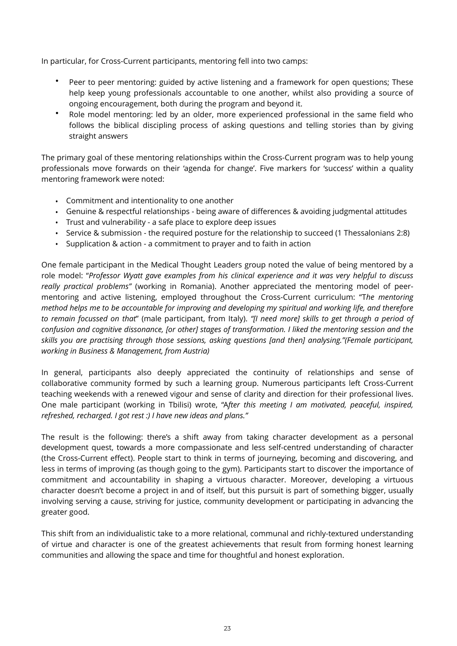In particular, for Cross-Current participants, mentoring fell into two camps:

- Peer to peer mentoring: guided by active listening and a framework for open questions; These help keep young professionals accountable to one another, whilst also providing a source of ongoing encouragement, both during the program and beyond it.
- Role model mentoring: led by an older, more experienced professional in the same field who follows the biblical discipling process of asking questions and telling stories than by giving straight answers

The primary goal of these mentoring relationships within the Cross-Current program was to help young professionals move forwards on their 'agenda for change'. Five markers for 'success' within a quality mentoring framework were noted:

- Commitment and intentionality to one another
- Genuine & respectful relationships being aware of differences & avoiding judgmental attitudes
- Trust and vulnerability a safe place to explore deep issues
- Service & submission the required posture for the relationship to succeed (1 Thessalonians 2:8)
- Supplication & action a commitment to prayer and to faith in action

One female participant in the Medical Thought Leaders group noted the value of being mentored by a role model: "*Professor Wyatt gave examples from his clinical experience and it was very helpful to discuss really practical problems"* (working in Romania). Another appreciated the mentoring model of peermentoring and active listening, employed throughout the Cross-Current curriculum: "T*he mentoring method helps me to be accountable for improving and developing my spiritual and working life, and therefore to remain focussed on that*" (male participant, from Italy). *"[I need more] skills to get through a period of confusion and cognitive dissonance, [or other] stages of transformation. I liked the mentoring session and the skills you are practising through those sessions, asking questions [and then] analysing."(Female participant, working in Business & Management, from Austria)*

In general, participants also deeply appreciated the continuity of relationships and sense of collaborative community formed by such a learning group. Numerous participants left Cross-Current teaching weekends with a renewed vigour and sense of clarity and direction for their professional lives. One male participant (working in Tbilisi) wrote, "A*fter this meeting I am motivated, peaceful, inspired, refreshed, recharged. I got rest :) I have new ideas and plans."* 

The result is the following: there's a shift away from taking character development as a personal development quest, towards a more compassionate and less self-centred understanding of character (the Cross-Current effect). People start to think in terms of journeying, becoming and discovering, and less in terms of improving (as though going to the gym). Participants start to discover the importance of commitment and accountability in shaping a virtuous character. Moreover, developing a virtuous character doesn't become a project in and of itself, but this pursuit is part of something bigger, usually involving serving a cause, striving for justice, community development or participating in advancing the greater good.

This shift from an individualistic take to a more relational, communal and richly-textured understanding of virtue and character is one of the greatest achievements that result from forming honest learning communities and allowing the space and time for thoughtful and honest exploration.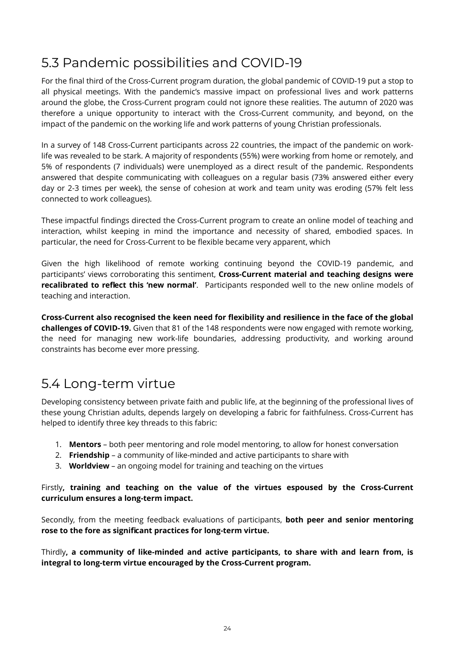#### 5.3 Pandemic possibilities and COVID-19

For the final third of the Cross-Current program duration, the global pandemic of COVID-19 put a stop to all physical meetings. With the pandemic's massive impact on professional lives and work patterns around the globe, the Cross-Current program could not ignore these realities. The autumn of 2020 was therefore a unique opportunity to interact with the Cross-Current community, and beyond, on the impact of the pandemic on the working life and work patterns of young Christian professionals.

In a survey of 148 Cross-Current participants across 22 countries, the impact of the pandemic on worklife was revealed to be stark. A majority of respondents (55%) were working from home or remotely, and 5% of respondents (7 individuals) were unemployed as a direct result of the pandemic. Respondents answered that despite communicating with colleagues on a regular basis (73% answered either every day or 2-3 times per week), the sense of cohesion at work and team unity was eroding (57% felt less connected to work colleagues).

These impactful findings directed the Cross-Current program to create an online model of teaching and interaction, whilst keeping in mind the importance and necessity of shared, embodied spaces. In particular, the need for Cross-Current to be flexible became very apparent, which

Given the high likelihood of remote working continuing beyond the COVID-19 pandemic, and participants' views corroborating this sentiment, **Cross-Current material and teaching designs were recalibrated to reflect this 'new normal'**. Participants responded well to the new online models of teaching and interaction.

**Cross-Current also recognised the keen need for flexibility and resilience in the face of the global challenges of COVID-19.** Given that 81 of the 148 respondents were now engaged with remote working, the need for managing new work-life boundaries, addressing productivity, and working around constraints has become ever more pressing.

#### 5.4 Long-term virtue

Developing consistency between private faith and public life, at the beginning of the professional lives of these young Christian adults, depends largely on developing a fabric for faithfulness. Cross-Current has helped to identify three key threads to this fabric:

- 1. **Mentors** both peer mentoring and role model mentoring, to allow for honest conversation
- 2. **Friendship** a community of like-minded and active participants to share with
- 3. **Worldview** an ongoing model for training and teaching on the virtues

#### Firstly**, training and teaching on the value of the virtues espoused by the Cross-Current curriculum ensures a long-term impact.**

Secondly, from the meeting feedback evaluations of participants, **both peer and senior mentoring rose to the fore as significant practices for long-term virtue.** 

Thirdly**, a community of like-minded and active participants, to share with and learn from, is integral to long-term virtue encouraged by the Cross-Current program.**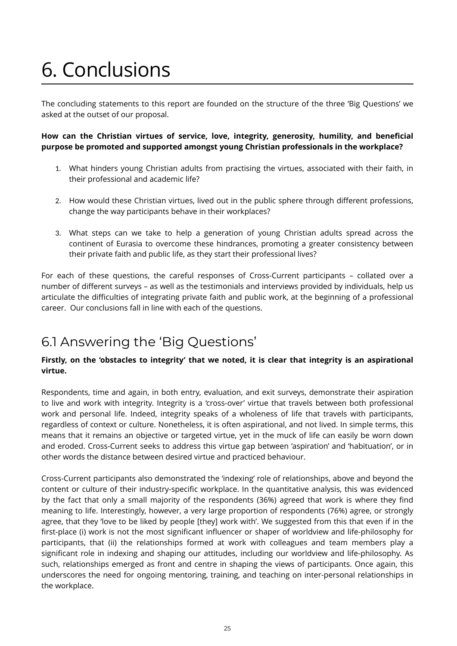## 6. Conclusions

The concluding statements to this report are founded on the structure of the three 'Big Questions' we asked at the outset of our proposal.

#### **How can the Christian virtues of service, love, integrity, generosity, humility, and beneficial purpose be promoted and supported amongst young Christian professionals in the workplace?**

- 1. What hinders young Christian adults from practising the virtues, associated with their faith, in their professional and academic life?
- 2. How would these Christian virtues, lived out in the public sphere through different professions, change the way participants behave in their workplaces?
- 3. What steps can we take to help a generation of young Christian adults spread across the continent of Eurasia to overcome these hindrances, promoting a greater consistency between their private faith and public life, as they start their professional lives?

For each of these questions, the careful responses of Cross-Current participants – collated over a number of different surveys – as well as the testimonials and interviews provided by individuals, help us articulate the difficulties of integrating private faith and public work, at the beginning of a professional career. Our conclusions fall in line with each of the questions.

#### 6.1 Answering the 'Big Questions'

#### **Firstly, on the 'obstacles to integrity' that we noted, it is clear that integrity is an aspirational virtue.**

Respondents, time and again, in both entry, evaluation, and exit surveys, demonstrate their aspiration to live and work with integrity. Integrity is a 'cross-over' virtue that travels between both professional work and personal life. Indeed, integrity speaks of a wholeness of life that travels with participants, regardless of context or culture. Nonetheless, it is often aspirational, and not lived. In simple terms, this means that it remains an objective or targeted virtue, yet in the muck of life can easily be worn down and eroded. Cross-Current seeks to address this virtue gap between 'aspiration' and 'habituation', or in other words the distance between desired virtue and practiced behaviour.

Cross-Current participants also demonstrated the 'indexing' role of relationships, above and beyond the content or culture of their industry-specific workplace. In the quantitative analysis, this was evidenced by the fact that only a small majority of the respondents (36%) agreed that work is where they find meaning to life. Interestingly, however, a very large proportion of respondents (76%) agree, or strongly agree, that they 'love to be liked by people [they] work with'. We suggested from this that even if in the first-place (i) work is not the most significant influencer or shaper of worldview and life-philosophy for participants, that (ii) the relationships formed at work with colleagues and team members play a significant role in indexing and shaping our attitudes, including our worldview and life-philosophy. As such, relationships emerged as front and centre in shaping the views of participants. Once again, this underscores the need for ongoing mentoring, training, and teaching on inter-personal relationships in the workplace.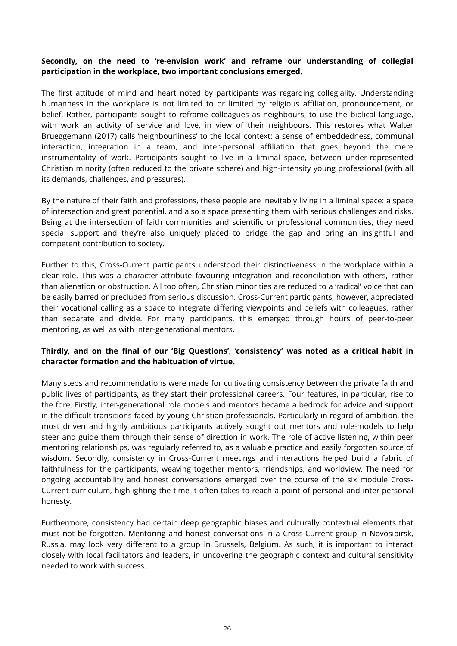#### **Secondly, on the need to 're-envision work' and reframe our understanding of collegial participation in the workplace, two important conclusions emerged.**

The first attitude of mind and heart noted by participants was regarding collegiality. Understanding humanness in the workplace is not limited to or limited by religious affiliation, pronouncement, or belief. Rather, participants sought to reframe colleagues as neighbours, to use the biblical language, with work an activity of service and love, in view of their neighbours. This restores what Walter Brueggemann (2017) calls 'neighbourliness' to the local context: a sense of embeddedness, communal interaction, integration in a team, and inter-personal affiliation that goes beyond the mere instrumentality of work. Participants sought to live in a liminal space, between under-represented Christian minority (often reduced to the private sphere) and high-intensity young professional (with all its demands, challenges, and pressures).

By the nature of their faith and professions, these people are inevitably living in a liminal space: a space of intersection and great potential, and also a space presenting them with serious challenges and risks. Being at the intersection of faith communities and scientific or professional communities, they need special support and they're also uniquely placed to bridge the gap and bring an insightful and competent contribution to society.

Further to this, Cross-Current participants understood their distinctiveness in the workplace within a clear role. This was a character-attribute favouring integration and reconciliation with others, rather than alienation or obstruction. All too often, Christian minorities are reduced to a 'radical' voice that can be easily barred or precluded from serious discussion. Cross-Current participants, however, appreciated their vocational calling as a space to integrate differing viewpoints and beliefs with colleagues, rather than separate and divide. For many participants, this emerged through hours of peer-to-peer mentoring, as well as with inter-generational mentors.

#### **Thirdly, and on the final of our 'Big Questions', 'consistency' was noted as a critical habit in character formation and the habituation of virtue.**

Many steps and recommendations were made for cultivating consistency between the private faith and public lives of participants, as they start their professional careers. Four features, in particular, rise to the fore. Firstly, inter-generational role models and mentors became a bedrock for advice and support in the difficult transitions faced by young Christian professionals. Particularly in regard of ambition, the most driven and highly ambitious participants actively sought out mentors and role-models to help steer and guide them through their sense of direction in work. The role of active listening, within peer mentoring relationships, was regularly referred to, as a valuable practice and easily forgotten source of wisdom. Secondly, consistency in Cross-Current meetings and interactions helped build a fabric of faithfulness for the participants, weaving together mentors, friendships, and worldview. The need for ongoing accountability and honest conversations emerged over the course of the six module Cross-Current curriculum, highlighting the time it often takes to reach a point of personal and inter-personal honesty.

Furthermore, consistency had certain deep geographic biases and culturally contextual elements that must not be forgotten. Mentoring and honest conversations in a Cross-Current group in Novosibirsk, Russia, may look very different to a group in Brussels, Belgium. As such, it is important to interact closely with local facilitators and leaders, in uncovering the geographic context and cultural sensitivity needed to work with success.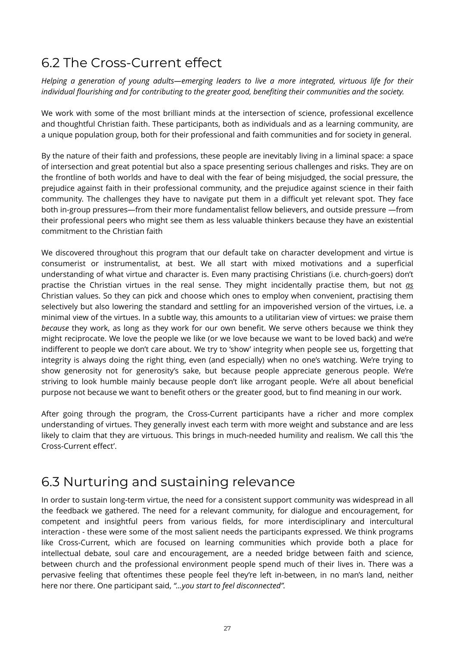#### 6.2 The Cross-Current effect

*Helping a generation of young adults—emerging leaders to live a more integrated, virtuous life for their individual flourishing and for contributing to the greater good, benefiting their communities and the society.* 

We work with some of the most brilliant minds at the intersection of science, professional excellence and thoughtful Christian faith. These participants, both as individuals and as a learning community, are a unique population group, both for their professional and faith communities and for society in general.

By the nature of their faith and professions, these people are inevitably living in a liminal space: a space of intersection and great potential but also a space presenting serious challenges and risks. They are on the frontline of both worlds and have to deal with the fear of being misjudged, the social pressure, the prejudice against faith in their professional community, and the prejudice against science in their faith community. The challenges they have to navigate put them in a difficult yet relevant spot. They face both in-group pressures—from their more fundamentalist fellow believers, and outside pressure —from their professional peers who might see them as less valuable thinkers because they have an existential commitment to the Christian faith

We discovered throughout this program that our default take on character development and virtue is consumerist or instrumentalist, at best. We all start with mixed motivations and a superficial understanding of what virtue and character is. Even many practising Christians (i.e. church-goers) don't practise the Christian virtues in the real sense. They might incidentally practise them, but not *as* Christian values. So they can pick and choose which ones to employ when convenient, practising them selectively but also lowering the standard and settling for an impoverished version of the virtues, i.e. a minimal view of the virtues. In a subtle way, this amounts to a utilitarian view of virtues: we praise them *because* they work, as long as they work for our own benefit. We serve others because we think they might reciprocate. We love the people we like (or we love because we want to be loved back) and we're indifferent to people we don't care about. We try to 'show' integrity when people see us, forgetting that integrity is always doing the right thing, even (and especially) when no one's watching. We're trying to show generosity not for generosity's sake, but because people appreciate generous people. We're striving to look humble mainly because people don't like arrogant people. We're all about beneficial purpose not because we want to benefit others or the greater good, but to find meaning in our work.

After going through the program, the Cross-Current participants have a richer and more complex understanding of virtues. They generally invest each term with more weight and substance and are less likely to claim that they are virtuous. This brings in much-needed humility and realism. We call this 'the Cross-Current effect'.

#### 6.3 Nurturing and sustaining relevance

In order to sustain long-term virtue, the need for a consistent support community was widespread in all the feedback we gathered. The need for a relevant community, for dialogue and encouragement, for competent and insightful peers from various fields, for more interdisciplinary and intercultural interaction - these were some of the most salient needs the participants expressed. We think programs like Cross-Current, which are focused on learning communities which provide both a place for intellectual debate, soul care and encouragement, are a needed bridge between faith and science, between church and the professional environment people spend much of their lives in. There was a pervasive feeling that oftentimes these people feel they're left in-between, in no man's land, neither here nor there. One participant said, *"...you start to feel disconnected".*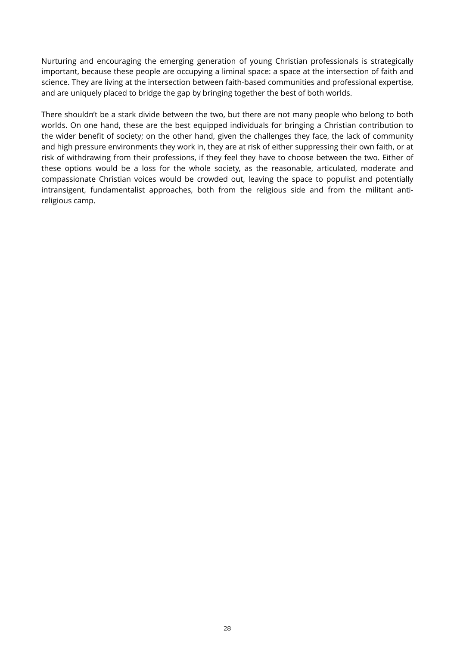Nurturing and encouraging the emerging generation of young Christian professionals is strategically important, because these people are occupying a liminal space: a space at the intersection of faith and science. They are living at the intersection between faith-based communities and professional expertise, and are uniquely placed to bridge the gap by bringing together the best of both worlds.

There shouldn't be a stark divide between the two, but there are not many people who belong to both worlds. On one hand, these are the best equipped individuals for bringing a Christian contribution to the wider benefit of society; on the other hand, given the challenges they face, the lack of community and high pressure environments they work in, they are at risk of either suppressing their own faith, or at risk of withdrawing from their professions, if they feel they have to choose between the two. Either of these options would be a loss for the whole society, as the reasonable, articulated, moderate and compassionate Christian voices would be crowded out, leaving the space to populist and potentially intransigent, fundamentalist approaches, both from the religious side and from the militant antireligious camp.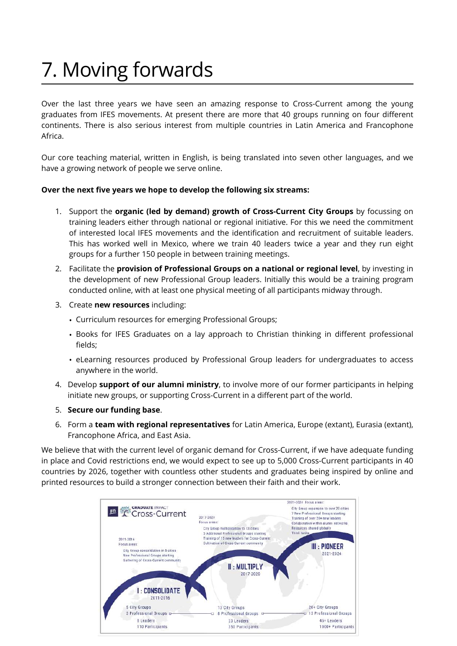### 7. Moving forwards

Over the last three years we have seen an amazing response to Cross-Current among the young graduates from IFES movements. At present there are more that 40 groups running on four different continents. There is also serious interest from multiple countries in Latin America and Francophone Africa.

Our core teaching material, written in English, is being translated into seven other languages, and we have a growing network of people we serve online.

#### **Over the next five years we hope to develop the following six streams:**

- 1. Support the **organic (led by demand) growth of Cross-Current City Groups** by focussing on training leaders either through national or regional initiative. For this we need the commitment of interested local IFES movements and the identification and recruitment of suitable leaders. This has worked well in Mexico, where we train 40 leaders twice a year and they run eight groups for a further 150 people in between training meetings.
- 2. Facilitate the **provision of Professional Groups on a national or regional level**, by investing in the development of new Professional Group leaders. Initially this would be a training program conducted online, with at least one physical meeting of all participants midway through.
- 3. Create **new resources** including:
	- Curriculum resources for emerging Professional Groups;
	- Books for IFES Graduates on a lay approach to Christian thinking in different professional fields;
	- eLearning resources produced by Professional Group leaders for undergraduates to access anywhere in the world.
- 4. Develop **support of our alumni ministry**, to involve more of our former participants in helping initiate new groups, or supporting Cross-Current in a different part of the world.
- 5. **Secure our funding base**.
- 6. Form a **team with regional representatives** for Latin America, Europe (extant), Eurasia (extant), Francophone Africa, and East Asia.

We believe that with the current level of organic demand for Cross-Current, if we have adequate funding in place and Covid restrictions end, we would expect to see up to 5,000 Cross-Current participants in 40 countries by 2026, together with countless other students and graduates being inspired by online and printed resources to build a stronger connection between their faith and their work.